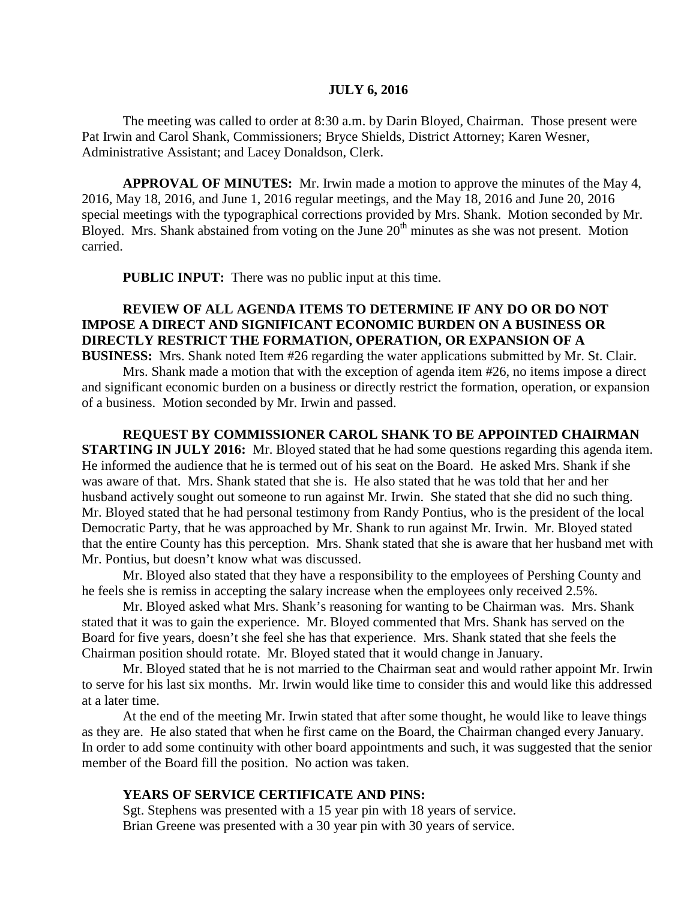#### **JULY 6, 2016**

The meeting was called to order at 8:30 a.m. by Darin Bloyed, Chairman. Those present were Pat Irwin and Carol Shank, Commissioners; Bryce Shields, District Attorney; Karen Wesner, Administrative Assistant; and Lacey Donaldson, Clerk.

**APPROVAL OF MINUTES:** Mr. Irwin made a motion to approve the minutes of the May 4, 2016, May 18, 2016, and June 1, 2016 regular meetings, and the May 18, 2016 and June 20, 2016 special meetings with the typographical corrections provided by Mrs. Shank. Motion seconded by Mr. Bloyed. Mrs. Shank abstained from voting on the June  $20<sup>th</sup>$  minutes as she was not present. Motion carried.

 **PUBLIC INPUT:** There was no public input at this time.

# **REVIEW OF ALL AGENDA ITEMS TO DETERMINE IF ANY DO OR DO NOT IMPOSE A DIRECT AND SIGNIFICANT ECONOMIC BURDEN ON A BUSINESS OR DIRECTLY RESTRICT THE FORMATION, OPERATION, OR EXPANSION OF A**

**BUSINESS:** Mrs. Shank noted Item #26 regarding the water applications submitted by Mr. St. Clair. Mrs. Shank made a motion that with the exception of agenda item #26, no items impose a direct and significant economic burden on a business or directly restrict the formation, operation, or expansion of a business. Motion seconded by Mr. Irwin and passed.

**REQUEST BY COMMISSIONER CAROL SHANK TO BE APPOINTED CHAIRMAN STARTING IN JULY 2016:** Mr. Bloyed stated that he had some questions regarding this agenda item. He informed the audience that he is termed out of his seat on the Board. He asked Mrs. Shank if she was aware of that. Mrs. Shank stated that she is. He also stated that he was told that her and her husband actively sought out someone to run against Mr. Irwin. She stated that she did no such thing. Mr. Bloyed stated that he had personal testimony from Randy Pontius, who is the president of the local Democratic Party, that he was approached by Mr. Shank to run against Mr. Irwin. Mr. Bloyed stated that the entire County has this perception. Mrs. Shank stated that she is aware that her husband met with Mr. Pontius, but doesn't know what was discussed.

Mr. Bloyed also stated that they have a responsibility to the employees of Pershing County and he feels she is remiss in accepting the salary increase when the employees only received 2.5%.

Mr. Bloyed asked what Mrs. Shank's reasoning for wanting to be Chairman was. Mrs. Shank stated that it was to gain the experience. Mr. Bloyed commented that Mrs. Shank has served on the Board for five years, doesn't she feel she has that experience. Mrs. Shank stated that she feels the Chairman position should rotate. Mr. Bloyed stated that it would change in January.

Mr. Bloyed stated that he is not married to the Chairman seat and would rather appoint Mr. Irwin to serve for his last six months. Mr. Irwin would like time to consider this and would like this addressed at a later time.

At the end of the meeting Mr. Irwin stated that after some thought, he would like to leave things as they are. He also stated that when he first came on the Board, the Chairman changed every January. In order to add some continuity with other board appointments and such, it was suggested that the senior member of the Board fill the position. No action was taken.

#### **YEARS OF SERVICE CERTIFICATE AND PINS:**

Sgt. Stephens was presented with a 15 year pin with 18 years of service. Brian Greene was presented with a 30 year pin with 30 years of service.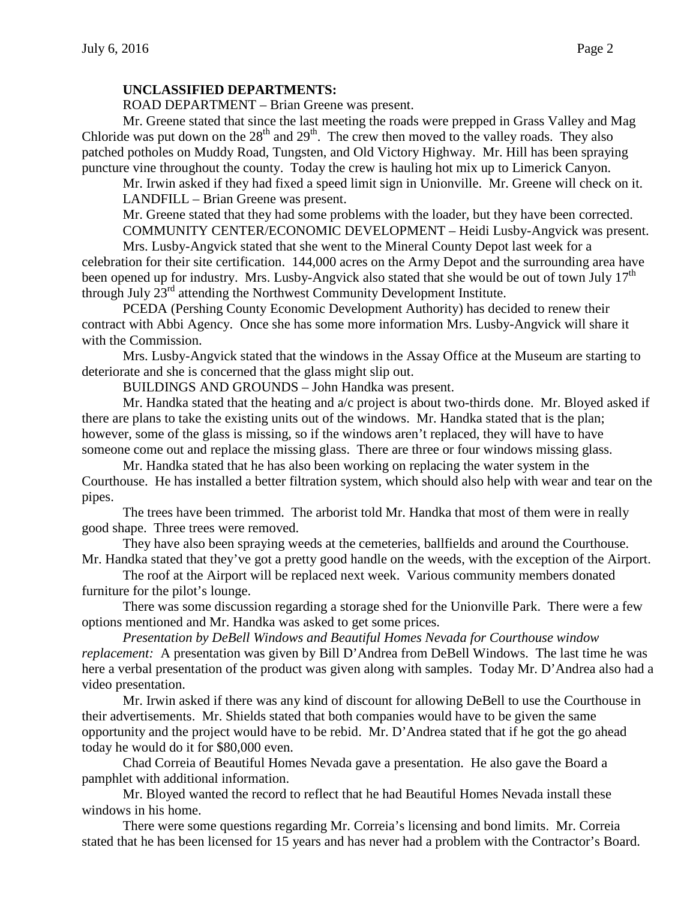#### **UNCLASSIFIED DEPARTMENTS:**

ROAD DEPARTMENT – Brian Greene was present.

Mr. Greene stated that since the last meeting the roads were prepped in Grass Valley and Mag Chloride was put down on the  $28<sup>th</sup>$  and  $29<sup>th</sup>$ . The crew then moved to the valley roads. They also patched potholes on Muddy Road, Tungsten, and Old Victory Highway. Mr. Hill has been spraying puncture vine throughout the county. Today the crew is hauling hot mix up to Limerick Canyon.

Mr. Irwin asked if they had fixed a speed limit sign in Unionville. Mr. Greene will check on it. LANDFILL – Brian Greene was present.

Mr. Greene stated that they had some problems with the loader, but they have been corrected. COMMUNITY CENTER/ECONOMIC DEVELOPMENT – Heidi Lusby-Angvick was present.

Mrs. Lusby-Angvick stated that she went to the Mineral County Depot last week for a celebration for their site certification. 144,000 acres on the Army Depot and the surrounding area have been opened up for industry. Mrs. Lusby-Angvick also stated that she would be out of town July  $17<sup>th</sup>$ through July 23<sup>rd</sup> attending the Northwest Community Development Institute.

PCEDA (Pershing County Economic Development Authority) has decided to renew their contract with Abbi Agency. Once she has some more information Mrs. Lusby-Angvick will share it with the Commission.

Mrs. Lusby-Angvick stated that the windows in the Assay Office at the Museum are starting to deteriorate and she is concerned that the glass might slip out.

BUILDINGS AND GROUNDS – John Handka was present.

Mr. Handka stated that the heating and a/c project is about two-thirds done. Mr. Bloyed asked if there are plans to take the existing units out of the windows. Mr. Handka stated that is the plan; however, some of the glass is missing, so if the windows aren't replaced, they will have to have someone come out and replace the missing glass. There are three or four windows missing glass.

Mr. Handka stated that he has also been working on replacing the water system in the Courthouse. He has installed a better filtration system, which should also help with wear and tear on the pipes.

The trees have been trimmed. The arborist told Mr. Handka that most of them were in really good shape. Three trees were removed.

They have also been spraying weeds at the cemeteries, ballfields and around the Courthouse. Mr. Handka stated that they've got a pretty good handle on the weeds, with the exception of the Airport.

The roof at the Airport will be replaced next week. Various community members donated furniture for the pilot's lounge.

There was some discussion regarding a storage shed for the Unionville Park. There were a few options mentioned and Mr. Handka was asked to get some prices.

*Presentation by DeBell Windows and Beautiful Homes Nevada for Courthouse window replacement:* A presentation was given by Bill D'Andrea from DeBell Windows. The last time he was here a verbal presentation of the product was given along with samples. Today Mr. D'Andrea also had a video presentation.

Mr. Irwin asked if there was any kind of discount for allowing DeBell to use the Courthouse in their advertisements. Mr. Shields stated that both companies would have to be given the same opportunity and the project would have to be rebid. Mr. D'Andrea stated that if he got the go ahead today he would do it for \$80,000 even.

Chad Correia of Beautiful Homes Nevada gave a presentation. He also gave the Board a pamphlet with additional information.

Mr. Bloyed wanted the record to reflect that he had Beautiful Homes Nevada install these windows in his home.

There were some questions regarding Mr. Correia's licensing and bond limits. Mr. Correia stated that he has been licensed for 15 years and has never had a problem with the Contractor's Board.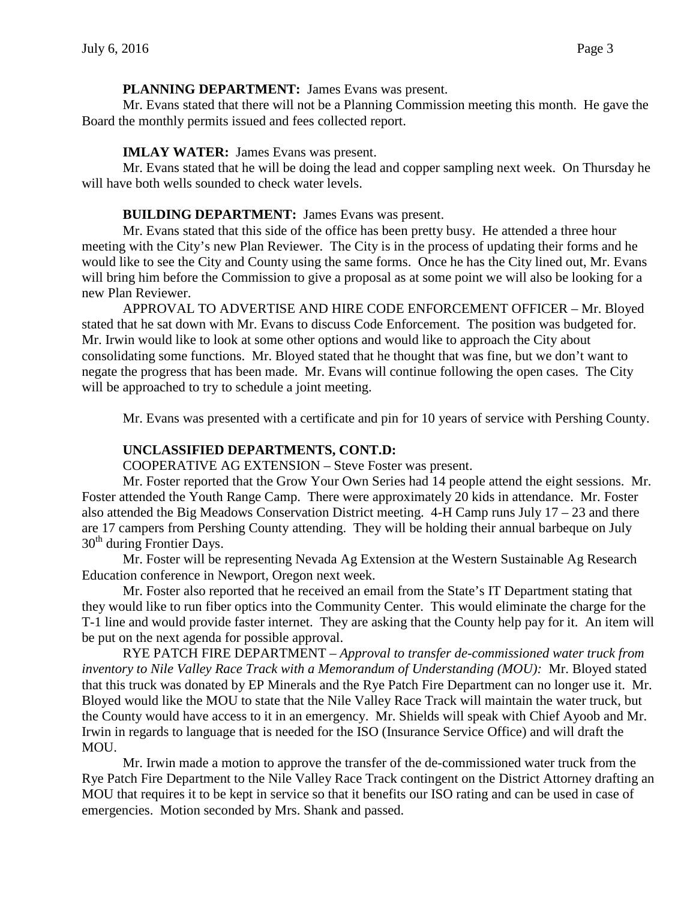#### **PLANNING DEPARTMENT:** James Evans was present.

Mr. Evans stated that there will not be a Planning Commission meeting this month. He gave the Board the monthly permits issued and fees collected report.

# **IMLAY WATER:** James Evans was present.

Mr. Evans stated that he will be doing the lead and copper sampling next week. On Thursday he will have both wells sounded to check water levels.

#### **BUILDING DEPARTMENT:** James Evans was present.

Mr. Evans stated that this side of the office has been pretty busy. He attended a three hour meeting with the City's new Plan Reviewer. The City is in the process of updating their forms and he would like to see the City and County using the same forms. Once he has the City lined out, Mr. Evans will bring him before the Commission to give a proposal as at some point we will also be looking for a new Plan Reviewer.

APPROVAL TO ADVERTISE AND HIRE CODE ENFORCEMENT OFFICER – Mr. Bloyed stated that he sat down with Mr. Evans to discuss Code Enforcement. The position was budgeted for. Mr. Irwin would like to look at some other options and would like to approach the City about consolidating some functions. Mr. Bloyed stated that he thought that was fine, but we don't want to negate the progress that has been made. Mr. Evans will continue following the open cases. The City will be approached to try to schedule a joint meeting.

Mr. Evans was presented with a certificate and pin for 10 years of service with Pershing County.

# **UNCLASSIFIED DEPARTMENTS, CONT.D:**

COOPERATIVE AG EXTENSION – Steve Foster was present.

Mr. Foster reported that the Grow Your Own Series had 14 people attend the eight sessions. Mr. Foster attended the Youth Range Camp. There were approximately 20 kids in attendance. Mr. Foster also attended the Big Meadows Conservation District meeting.  $4-H$  Camp runs July  $17 - 23$  and there are 17 campers from Pershing County attending. They will be holding their annual barbeque on July 30<sup>th</sup> during Frontier Days.

Mr. Foster will be representing Nevada Ag Extension at the Western Sustainable Ag Research Education conference in Newport, Oregon next week.

Mr. Foster also reported that he received an email from the State's IT Department stating that they would like to run fiber optics into the Community Center. This would eliminate the charge for the T-1 line and would provide faster internet. They are asking that the County help pay for it. An item will be put on the next agenda for possible approval.

RYE PATCH FIRE DEPARTMENT – *Approval to transfer de-commissioned water truck from inventory to Nile Valley Race Track with a Memorandum of Understanding (MOU):* Mr. Bloyed stated that this truck was donated by EP Minerals and the Rye Patch Fire Department can no longer use it. Mr. Bloyed would like the MOU to state that the Nile Valley Race Track will maintain the water truck, but the County would have access to it in an emergency. Mr. Shields will speak with Chief Ayoob and Mr. Irwin in regards to language that is needed for the ISO (Insurance Service Office) and will draft the MOU.

Mr. Irwin made a motion to approve the transfer of the de-commissioned water truck from the Rye Patch Fire Department to the Nile Valley Race Track contingent on the District Attorney drafting an MOU that requires it to be kept in service so that it benefits our ISO rating and can be used in case of emergencies. Motion seconded by Mrs. Shank and passed.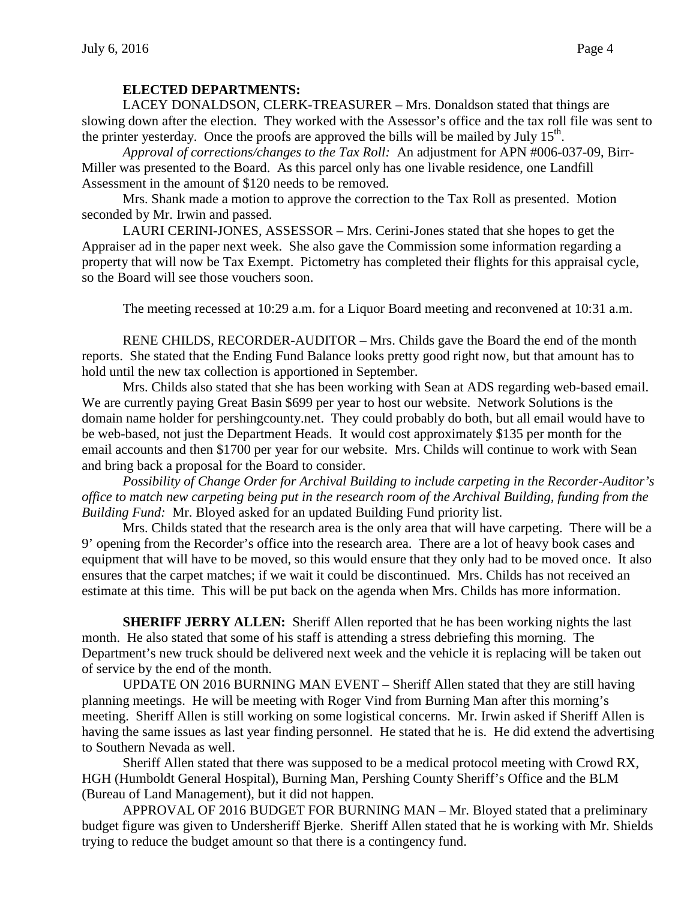#### **ELECTED DEPARTMENTS:**

LACEY DONALDSON, CLERK-TREASURER – Mrs. Donaldson stated that things are slowing down after the election. They worked with the Assessor's office and the tax roll file was sent to the printer yesterday. Once the proofs are approved the bills will be mailed by July  $15<sup>th</sup>$ .

*Approval of corrections/changes to the Tax Roll:* An adjustment for APN #006-037-09, Birr-Miller was presented to the Board. As this parcel only has one livable residence, one Landfill Assessment in the amount of \$120 needs to be removed.

Mrs. Shank made a motion to approve the correction to the Tax Roll as presented. Motion seconded by Mr. Irwin and passed.

LAURI CERINI-JONES, ASSESSOR – Mrs. Cerini-Jones stated that she hopes to get the Appraiser ad in the paper next week. She also gave the Commission some information regarding a property that will now be Tax Exempt. Pictometry has completed their flights for this appraisal cycle, so the Board will see those vouchers soon.

The meeting recessed at 10:29 a.m. for a Liquor Board meeting and reconvened at 10:31 a.m.

RENE CHILDS, RECORDER-AUDITOR – Mrs. Childs gave the Board the end of the month reports. She stated that the Ending Fund Balance looks pretty good right now, but that amount has to hold until the new tax collection is apportioned in September.

Mrs. Childs also stated that she has been working with Sean at ADS regarding web-based email. We are currently paying Great Basin \$699 per year to host our website. Network Solutions is the domain name holder for pershingcounty.net. They could probably do both, but all email would have to be web-based, not just the Department Heads. It would cost approximately \$135 per month for the email accounts and then \$1700 per year for our website. Mrs. Childs will continue to work with Sean and bring back a proposal for the Board to consider.

*Possibility of Change Order for Archival Building to include carpeting in the Recorder-Auditor's office to match new carpeting being put in the research room of the Archival Building, funding from the Building Fund:* Mr. Bloyed asked for an updated Building Fund priority list.

Mrs. Childs stated that the research area is the only area that will have carpeting. There will be a 9' opening from the Recorder's office into the research area. There are a lot of heavy book cases and equipment that will have to be moved, so this would ensure that they only had to be moved once. It also ensures that the carpet matches; if we wait it could be discontinued. Mrs. Childs has not received an estimate at this time. This will be put back on the agenda when Mrs. Childs has more information.

**SHERIFF JERRY ALLEN:** Sheriff Allen reported that he has been working nights the last month. He also stated that some of his staff is attending a stress debriefing this morning. The Department's new truck should be delivered next week and the vehicle it is replacing will be taken out of service by the end of the month.

UPDATE ON 2016 BURNING MAN EVENT – Sheriff Allen stated that they are still having planning meetings. He will be meeting with Roger Vind from Burning Man after this morning's meeting. Sheriff Allen is still working on some logistical concerns. Mr. Irwin asked if Sheriff Allen is having the same issues as last year finding personnel. He stated that he is. He did extend the advertising to Southern Nevada as well.

Sheriff Allen stated that there was supposed to be a medical protocol meeting with Crowd RX, HGH (Humboldt General Hospital), Burning Man, Pershing County Sheriff's Office and the BLM (Bureau of Land Management), but it did not happen.

APPROVAL OF 2016 BUDGET FOR BURNING MAN – Mr. Bloyed stated that a preliminary budget figure was given to Undersheriff Bjerke. Sheriff Allen stated that he is working with Mr. Shields trying to reduce the budget amount so that there is a contingency fund.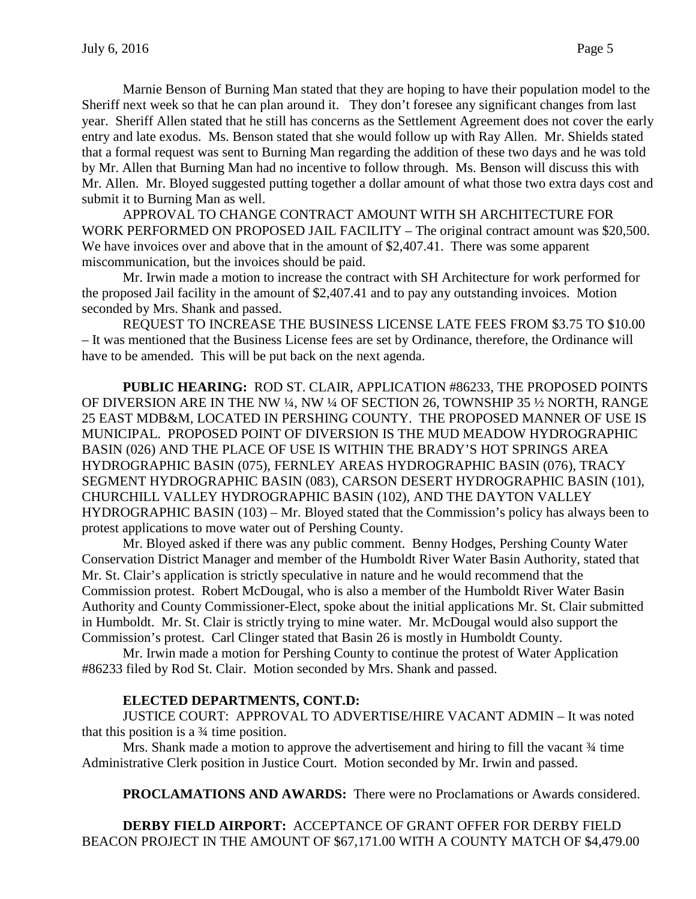Marnie Benson of Burning Man stated that they are hoping to have their population model to the Sheriff next week so that he can plan around it. They don't foresee any significant changes from last year. Sheriff Allen stated that he still has concerns as the Settlement Agreement does not cover the early entry and late exodus. Ms. Benson stated that she would follow up with Ray Allen. Mr. Shields stated that a formal request was sent to Burning Man regarding the addition of these two days and he was told by Mr. Allen that Burning Man had no incentive to follow through. Ms. Benson will discuss this with Mr. Allen. Mr. Bloyed suggested putting together a dollar amount of what those two extra days cost and submit it to Burning Man as well.

APPROVAL TO CHANGE CONTRACT AMOUNT WITH SH ARCHITECTURE FOR WORK PERFORMED ON PROPOSED JAIL FACILITY – The original contract amount was \$20,500. We have invoices over and above that in the amount of \$2,407.41. There was some apparent miscommunication, but the invoices should be paid.

Mr. Irwin made a motion to increase the contract with SH Architecture for work performed for the proposed Jail facility in the amount of \$2,407.41 and to pay any outstanding invoices. Motion seconded by Mrs. Shank and passed.

REQUEST TO INCREASE THE BUSINESS LICENSE LATE FEES FROM \$3.75 TO \$10.00 – It was mentioned that the Business License fees are set by Ordinance, therefore, the Ordinance will have to be amended. This will be put back on the next agenda.

**PUBLIC HEARING:** ROD ST. CLAIR, APPLICATION #86233, THE PROPOSED POINTS OF DIVERSION ARE IN THE NW ¼, NW ¼ OF SECTION 26, TOWNSHIP 35 ½ NORTH, RANGE 25 EAST MDB&M, LOCATED IN PERSHING COUNTY. THE PROPOSED MANNER OF USE IS MUNICIPAL. PROPOSED POINT OF DIVERSION IS THE MUD MEADOW HYDROGRAPHIC BASIN (026) AND THE PLACE OF USE IS WITHIN THE BRADY'S HOT SPRINGS AREA HYDROGRAPHIC BASIN (075), FERNLEY AREAS HYDROGRAPHIC BASIN (076), TRACY SEGMENT HYDROGRAPHIC BASIN (083), CARSON DESERT HYDROGRAPHIC BASIN (101), CHURCHILL VALLEY HYDROGRAPHIC BASIN (102), AND THE DAYTON VALLEY HYDROGRAPHIC BASIN (103) – Mr. Bloyed stated that the Commission's policy has always been to protest applications to move water out of Pershing County.

Mr. Bloyed asked if there was any public comment. Benny Hodges, Pershing County Water Conservation District Manager and member of the Humboldt River Water Basin Authority, stated that Mr. St. Clair's application is strictly speculative in nature and he would recommend that the Commission protest. Robert McDougal, who is also a member of the Humboldt River Water Basin Authority and County Commissioner-Elect, spoke about the initial applications Mr. St. Clair submitted in Humboldt. Mr. St. Clair is strictly trying to mine water. Mr. McDougal would also support the Commission's protest. Carl Clinger stated that Basin 26 is mostly in Humboldt County.

Mr. Irwin made a motion for Pershing County to continue the protest of Water Application #86233 filed by Rod St. Clair. Motion seconded by Mrs. Shank and passed.

# **ELECTED DEPARTMENTS, CONT.D:**

JUSTICE COURT: APPROVAL TO ADVERTISE/HIRE VACANT ADMIN – It was noted that this position is a ¾ time position.

Mrs. Shank made a motion to approve the advertisement and hiring to fill the vacant  $\frac{3}{4}$  time Administrative Clerk position in Justice Court. Motion seconded by Mr. Irwin and passed.

**PROCLAMATIONS AND AWARDS:** There were no Proclamations or Awards considered.

**DERBY FIELD AIRPORT:** ACCEPTANCE OF GRANT OFFER FOR DERBY FIELD BEACON PROJECT IN THE AMOUNT OF \$67,171.00 WITH A COUNTY MATCH OF \$4,479.00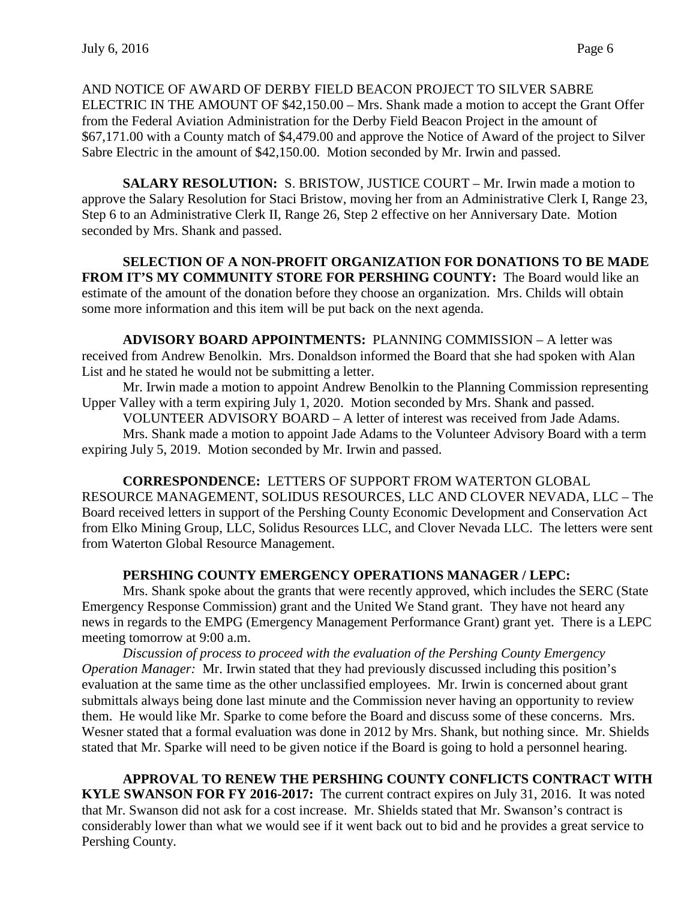AND NOTICE OF AWARD OF DERBY FIELD BEACON PROJECT TO SILVER SABRE ELECTRIC IN THE AMOUNT OF \$42,150.00 – Mrs. Shank made a motion to accept the Grant Offer from the Federal Aviation Administration for the Derby Field Beacon Project in the amount of \$67,171.00 with a County match of \$4,479.00 and approve the Notice of Award of the project to Silver Sabre Electric in the amount of \$42,150.00. Motion seconded by Mr. Irwin and passed.

**SALARY RESOLUTION:** S. BRISTOW, JUSTICE COURT – Mr. Irwin made a motion to approve the Salary Resolution for Staci Bristow, moving her from an Administrative Clerk I, Range 23, Step 6 to an Administrative Clerk II, Range 26, Step 2 effective on her Anniversary Date. Motion seconded by Mrs. Shank and passed.

**SELECTION OF A NON-PROFIT ORGANIZATION FOR DONATIONS TO BE MADE FROM IT'S MY COMMUNITY STORE FOR PERSHING COUNTY:** The Board would like an estimate of the amount of the donation before they choose an organization. Mrs. Childs will obtain some more information and this item will be put back on the next agenda.

**ADVISORY BOARD APPOINTMENTS:** PLANNING COMMISSION – A letter was received from Andrew Benolkin. Mrs. Donaldson informed the Board that she had spoken with Alan List and he stated he would not be submitting a letter.

Mr. Irwin made a motion to appoint Andrew Benolkin to the Planning Commission representing Upper Valley with a term expiring July 1, 2020. Motion seconded by Mrs. Shank and passed.

VOLUNTEER ADVISORY BOARD – A letter of interest was received from Jade Adams.

Mrs. Shank made a motion to appoint Jade Adams to the Volunteer Advisory Board with a term expiring July 5, 2019. Motion seconded by Mr. Irwin and passed.

**CORRESPONDENCE:** LETTERS OF SUPPORT FROM WATERTON GLOBAL RESOURCE MANAGEMENT, SOLIDUS RESOURCES, LLC AND CLOVER NEVADA, LLC – The Board received letters in support of the Pershing County Economic Development and Conservation Act from Elko Mining Group, LLC, Solidus Resources LLC, and Clover Nevada LLC. The letters were sent from Waterton Global Resource Management.

# **PERSHING COUNTY EMERGENCY OPERATIONS MANAGER / LEPC:**

Mrs. Shank spoke about the grants that were recently approved, which includes the SERC (State Emergency Response Commission) grant and the United We Stand grant. They have not heard any news in regards to the EMPG (Emergency Management Performance Grant) grant yet. There is a LEPC meeting tomorrow at 9:00 a.m.

*Discussion of process to proceed with the evaluation of the Pershing County Emergency Operation Manager:* Mr. Irwin stated that they had previously discussed including this position's evaluation at the same time as the other unclassified employees. Mr. Irwin is concerned about grant submittals always being done last minute and the Commission never having an opportunity to review them. He would like Mr. Sparke to come before the Board and discuss some of these concerns. Mrs. Wesner stated that a formal evaluation was done in 2012 by Mrs. Shank, but nothing since. Mr. Shields stated that Mr. Sparke will need to be given notice if the Board is going to hold a personnel hearing.

**APPROVAL TO RENEW THE PERSHING COUNTY CONFLICTS CONTRACT WITH KYLE SWANSON FOR FY 2016-2017:** The current contract expires on July 31, 2016. It was noted that Mr. Swanson did not ask for a cost increase. Mr. Shields stated that Mr. Swanson's contract is considerably lower than what we would see if it went back out to bid and he provides a great service to Pershing County.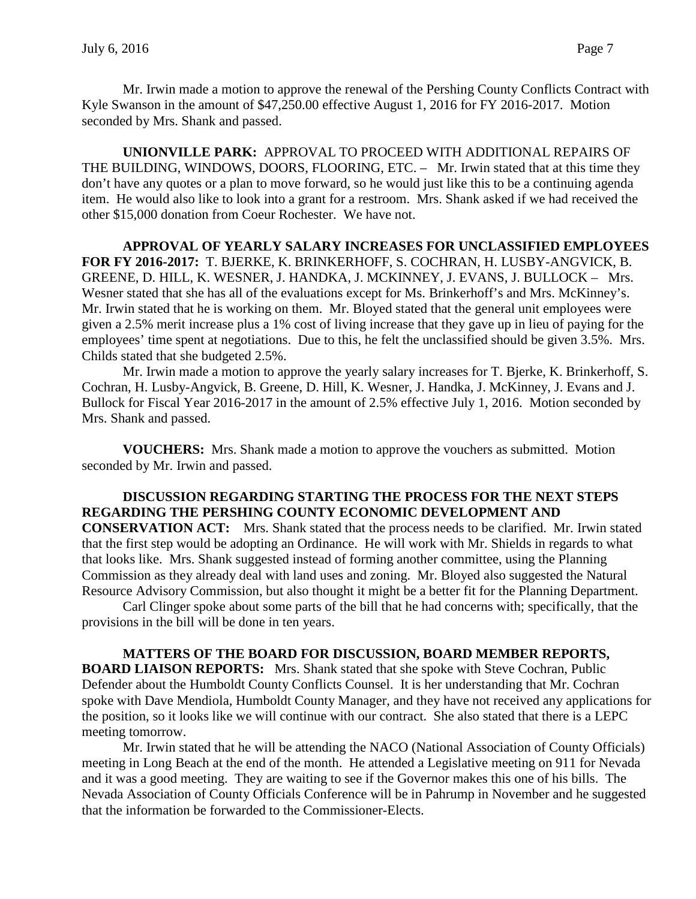Mr. Irwin made a motion to approve the renewal of the Pershing County Conflicts Contract with Kyle Swanson in the amount of \$47,250.00 effective August 1, 2016 for FY 2016-2017. Motion seconded by Mrs. Shank and passed.

**UNIONVILLE PARK:** APPROVAL TO PROCEED WITH ADDITIONAL REPAIRS OF THE BUILDING, WINDOWS, DOORS, FLOORING, ETC. – Mr. Irwin stated that at this time they don't have any quotes or a plan to move forward, so he would just like this to be a continuing agenda item. He would also like to look into a grant for a restroom. Mrs. Shank asked if we had received the other \$15,000 donation from Coeur Rochester. We have not.

**APPROVAL OF YEARLY SALARY INCREASES FOR UNCLASSIFIED EMPLOYEES FOR FY 2016-2017:** T. BJERKE, K. BRINKERHOFF, S. COCHRAN, H. LUSBY-ANGVICK, B. GREENE, D. HILL, K. WESNER, J. HANDKA, J. MCKINNEY, J. EVANS, J. BULLOCK – Mrs. Wesner stated that she has all of the evaluations except for Ms. Brinkerhoff's and Mrs. McKinney's. Mr. Irwin stated that he is working on them. Mr. Bloyed stated that the general unit employees were given a 2.5% merit increase plus a 1% cost of living increase that they gave up in lieu of paying for the employees' time spent at negotiations. Due to this, he felt the unclassified should be given 3.5%. Mrs. Childs stated that she budgeted 2.5%.

Mr. Irwin made a motion to approve the yearly salary increases for T. Bjerke, K. Brinkerhoff, S. Cochran, H. Lusby-Angvick, B. Greene, D. Hill, K. Wesner, J. Handka, J. McKinney, J. Evans and J. Bullock for Fiscal Year 2016-2017 in the amount of 2.5% effective July 1, 2016. Motion seconded by Mrs. Shank and passed.

**VOUCHERS:** Mrs. Shank made a motion to approve the vouchers as submitted. Motion seconded by Mr. Irwin and passed.

**DISCUSSION REGARDING STARTING THE PROCESS FOR THE NEXT STEPS REGARDING THE PERSHING COUNTY ECONOMIC DEVELOPMENT AND CONSERVATION ACT:** Mrs. Shank stated that the process needs to be clarified. Mr. Irwin stated that the first step would be adopting an Ordinance. He will work with Mr. Shields in regards to what that looks like. Mrs. Shank suggested instead of forming another committee, using the Planning Commission as they already deal with land uses and zoning. Mr. Bloyed also suggested the Natural Resource Advisory Commission, but also thought it might be a better fit for the Planning Department.

Carl Clinger spoke about some parts of the bill that he had concerns with; specifically, that the provisions in the bill will be done in ten years.

**MATTERS OF THE BOARD FOR DISCUSSION, BOARD MEMBER REPORTS, BOARD LIAISON REPORTS:** Mrs. Shank stated that she spoke with Steve Cochran, Public Defender about the Humboldt County Conflicts Counsel. It is her understanding that Mr. Cochran spoke with Dave Mendiola, Humboldt County Manager, and they have not received any applications for the position, so it looks like we will continue with our contract. She also stated that there is a LEPC meeting tomorrow.

Mr. Irwin stated that he will be attending the NACO (National Association of County Officials) meeting in Long Beach at the end of the month. He attended a Legislative meeting on 911 for Nevada and it was a good meeting. They are waiting to see if the Governor makes this one of his bills. The Nevada Association of County Officials Conference will be in Pahrump in November and he suggested that the information be forwarded to the Commissioner-Elects.